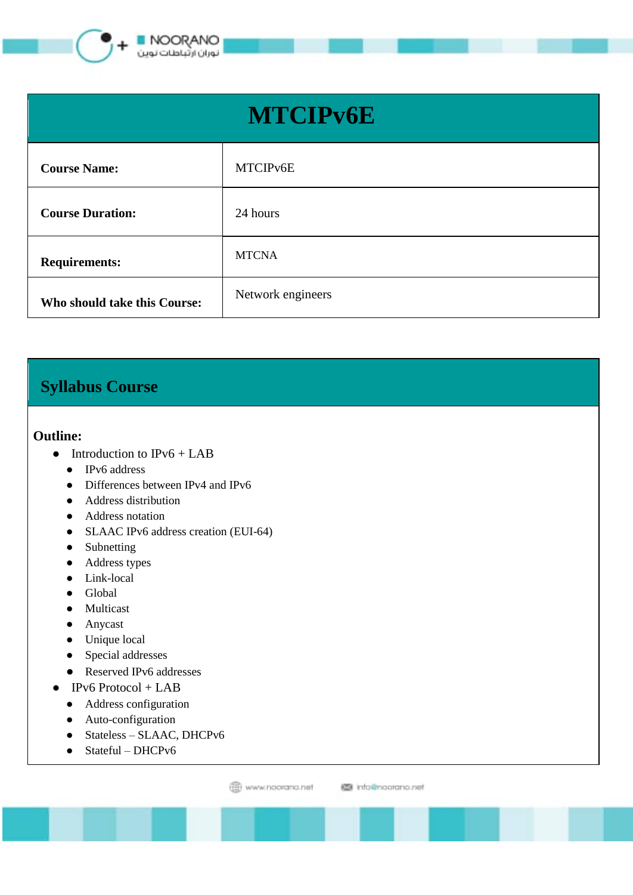

## **MTCIPv6E**

| <b>Course Name:</b>          | MTCIPv6E          |
|------------------------------|-------------------|
| <b>Course Duration:</b>      | 24 hours          |
| <b>Requirements:</b>         | <b>MTCNA</b>      |
| Who should take this Course: | Network engineers |

## **Syllabus Course**

## **Outline:**

- $\bullet$  Introduction to IPv6 + LAB
	- IPv6 address
	- Differences between IPv4 and IPv6
	- Address distribution
	- Address notation
	- SLAAC IPv6 address creation (EUI-64)
	- Subnetting
	- Address types
	- Link-local
	- Global
	- Multicast
	- Anycast
	- Unique local
	- Special addresses
	- Reserved IPv6 addresses
- $\bullet$  IPv6 Protocol + LAB
	- Address configuration
	- Auto-configuration
	- Stateless SLAAC, DHCPv6
	- Stateful DHCPv6

www.noorano.net

图 info@noorano.net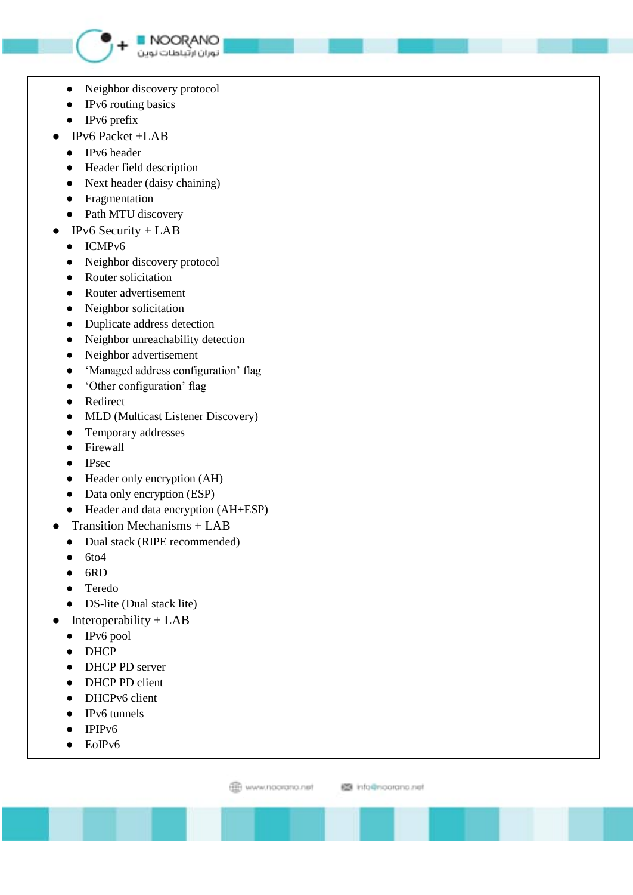

• Neighbor discovery protocol

NOORANO توران ارتباطات نوبن

- IPv6 routing basics
- IPv6 prefix
- IPv6 Packet +LAB
	- IPv6 header
	- Header field description
	- Next header (daisy chaining)
	- Fragmentation
	- Path MTU discovery
- $\bullet$  IPv6 Security + LAB
	- ICMPv6
	- Neighbor discovery protocol
	- Router solicitation
	- Router advertisement
	- Neighbor solicitation
	- Duplicate address detection
	- Neighbor unreachability detection
	- Neighbor advertisement
	- 'Managed address configuration' flag
	- 'Other configuration' flag
	- Redirect
	- MLD (Multicast Listener Discovery)
	- Temporary addresses
	- Firewall
	- IPsec
	- Header only encryption (AH)
	- Data only encryption (ESP)
	- Header and data encryption (AH+ESP)
- Transition Mechanisms + LAB
	- Dual stack (RIPE recommended)
	- $6t04$
	- $\bullet$  6RD
	- Teredo
	- DS-lite (Dual stack lite)
- $\bullet$  Interoperability + LAB
	- IPv6 pool
	- DHCP
	- DHCP PD server
	- DHCP PD client
	- DHCPv6 client
	- IPv6 tunnels
	- IPIPv6
	- EoIPv6

Www.noorano.net

图 info@noorano.net